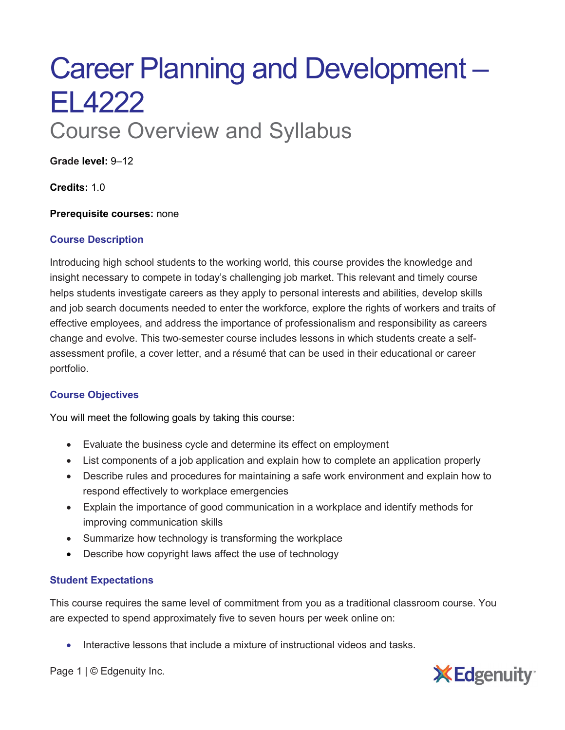# Career Planning and Development – EL4222 Course Overview and Syllabus

**Grade level:** 9–12

**Credits:** 1.0

**Prerequisite courses:** none

### **Course Description**

Introducing high school students to the working world, this course provides the knowledge and insight necessary to compete in today's challenging job market. This relevant and timely course helps students investigate careers as they apply to personal interests and abilities, develop skills and job search documents needed to enter the workforce, explore the rights of workers and traits of effective employees, and address the importance of professionalism and responsibility as careers change and evolve. This two-semester course includes lessons in which students create a selfassessment profile, a cover letter, and a résumé that can be used in their educational or career portfolio.

### **Course Objectives**

You will meet the following goals by taking this course:

- Evaluate the business cycle and determine its effect on employment
- List components of a job application and explain how to complete an application properly
- Describe rules and procedures for maintaining a safe work environment and explain how to respond effectively to workplace emergencies
- Explain the importance of good communication in a workplace and identify methods for improving communication skills
- Summarize how technology is transforming the workplace
- Describe how copyright laws affect the use of technology

## **Student Expectations**

This course requires the same level of commitment from you as a traditional classroom course. You are expected to spend approximately five to seven hours per week online on:

• Interactive lessons that include a mixture of instructional videos and tasks.



Page 1 | © Edgenuity Inc.